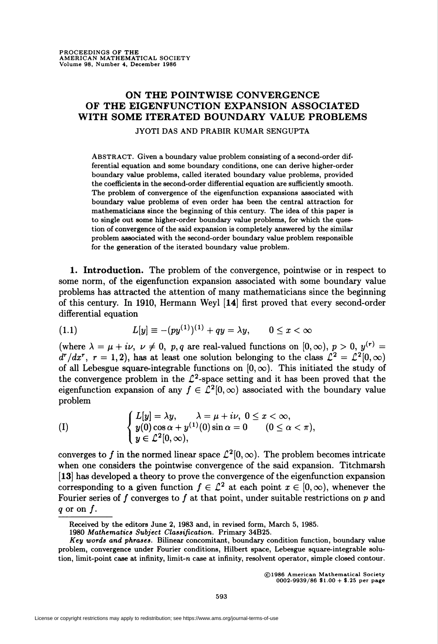## ON THE POINTWISE CONVERGENCE OF THE EIGENFUNCTION EXPANSION ASSOCIATED WITH SOME ITERATED BOUNDARY VALUE PROBLEMS

## JYOTI DAS AND PRABIR KUMAR SENGUPTA

ABSTRACT. Given a boundary value problem consisting of a second-order differential equation and some boundary conditions, one can derive higher-order boundary value problems, called iterated boundary value problems, provided the coefficients in the second-order differential equation are sufficiently smooth. The problem of convergence of the eigenfunction expansions associated with boundary value problems of even order has been the central attraction for mathematicians since the beginning of this century. The idea of this paper is to single out some higher-order boundary value problems, for which the question of convergence of the said expansion is completely answered by the similar problem associated with the second-order boundary value problem responsible for the generation of the iterated boundary value problem.

1. Introduction. The problem of the convergence, pointwise or in respect to some norm, of the eigenfunction expansion associated with some boundary value problems has attracted the attention of many mathematicians since the beginning of this century. In 1910, Hermann Weyl [14] first proved that every second-order differential equation

(1.1) 
$$
L[y] \equiv -(py^{(1)})^{(1)} + qy = \lambda y, \qquad 0 \leq x < \infty
$$

(where  $\lambda = \mu + i\nu$ ,  $\nu \neq 0$ , p,q are real-valued functions on  $[0, \infty)$ ,  $p > 0$ ,  $y^{(r)} =$  $d^{r}/dx^{r}$ ,  $r = 1,2$ ), has at least one solution belonging to the class  $\mathcal{L}^{2} = \mathcal{L}^{2}[0,\infty)$ of all Lebesgue square-integrable functions on  $[0, \infty)$ . This initiated the study of the convergence problem in the  $\mathcal{L}^2$ -space setting and it has been proved that the eigenfunction expansion of any  $f \in \mathcal{L}^2[0,\infty)$  associated with the boundary value problem

(1) 
$$
\begin{cases}L[y] = \lambda y, & \lambda = \mu + i\nu, \ 0 \leq x < \infty, \\ y(0) \cos \alpha + y^{(1)}(0) \sin \alpha = 0 & (0 \leq \alpha < \pi), \\ y \in \mathcal{L}^2[0, \infty), \end{cases}
$$

converges to f in the normed linear space  $\mathcal{L}^2[0,\infty)$ . The problem becomes intricate when one considers the pointwise convergence of the said expansion. Titchmarsh [13] has developed a theory to prove the convergence of the eigenfunction expansion corresponding to a given function  $f \in \mathcal{L}^2$  at each point  $x \in [0,\infty)$ , whenever the Fourier series of  $f$  converges to  $f$  at that point, under suitable restrictions on  $p$  and q or on  $f$ .

©1986 American Mathematical Society 0002-9939/86 \$1.00 + \$.25 per page

Received by the editors June 2, 1983 and, in revised form, March 5, 1985.

<sup>1980</sup> Mathematics Subject Classification. Primary 34B25.

Key words and phrases. Bilinear concomitant, boundary condition function, boundary value problem, convergence under Fourier conditions, Hubert space, Lebesgue square-integrable solution, limit-point case at infinity, limit-n case at infinity, resolvent operator, simple closed contour.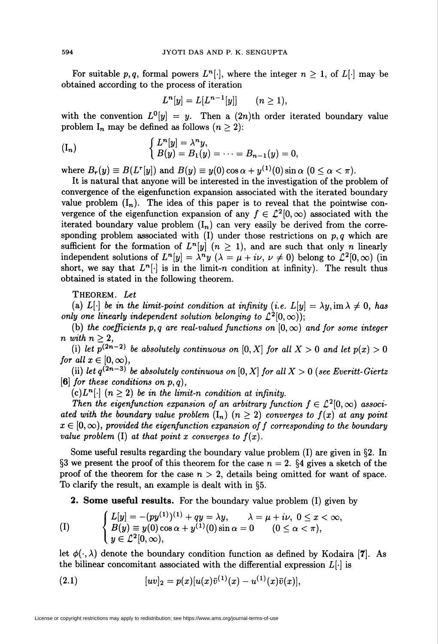For suitable p, q, formal powers  $L^{n}[\cdot]$ , where the integer  $n \geq 1$ , of  $L[\cdot]$  may be obtained according to the process of iteration

$$
L^n[y] = L[L^{n-1}[y]] \qquad (n \ge 1),
$$

with the convention  $L^0[y] = y$ . Then a  $(2n)$ th order iterated boundary value problem  $I_n$  may be defined as follows  $(n \geq 2)$ :

$$
\begin{cases}\nL^n[y] = \lambda^n y, \\
B(y) = B_1(y) = \cdots = B_{n-1}(y) = 0.\n\end{cases}
$$

where  $B_r(y) \equiv B(L^r[y])$  and  $B(y) \equiv y(0) \cos \alpha + y^{(1)}(0) \sin \alpha$   $(0 \le \alpha < \pi)$ .

It is natural that anyone will be interested in the investigation of the problem of convergence of the eigenfunction expansion associated with the iterated boundary value problem  $(I_n)$ . The idea of this paper is to reveal that the pointwise convergence of the eigenfunction expansion of any  $f \in \mathcal{L}^2[0,\infty)$  associated with the iterated boundary value problem  $(I_n)$  can very easily be derived from the corresponding problem associated with (I) under those restrictions on  $p, q$  which are sufficient for the formation of  $L^{n}[y]$   $(n > 1)$ , and are such that only n linearly independent solutions of  $L^n[y] = \lambda^n y$   $(\lambda = \mu + i\nu, \nu \neq 0)$  belong to  $L^2[0,\infty)$  (in short, we say that  $L^{n}[\cdot]$  is in the limit-n condition at infinity). The result thus obtained is stated in the following theorem.

THEOREM. Let

(a) L[-] be in the limit-point condition at infinity (i.e.  $L[y] = \lambda y$ , im  $\lambda \neq 0$ , has only one linearly independent solution belonging to  $\mathcal{L}^2[0,\infty)$ ;

(b) the coefficients p, q are real-valued functions on  $[0, \infty)$  and for some integer n with  $n \geq 2$ ,

(i) let  $p^{(2n-2)}$  be absolutely continuous on  $[0, X]$  for all  $X > 0$  and let  $p(x) > 0$ for all  $x \in [0, \infty)$ ,

(ii) let  $q^{(2n-3)}$  be absolutely continuous on  $[0, X]$  for all  $X > 0$  (see Everitt-Giertz [6] for these conditions on  $p, q$ ],

(c) $L^{n}[\cdot]$   $(n \geq 2)$  be in the limit-n condition at infinity.

Then the eigenfunction expansion of an arbitrary function  $f \in \mathcal{L}^2[0,\infty)$  associated with the boundary value problem  $(I_n)$   $(n \geq 2)$  converges to  $f(x)$  at any point  $x \in [0, \infty)$ , provided the eigenfunction expansion of f corresponding to the boundary value problem (I) at that point x converges to  $f(x)$ .

Some useful results regarding the boundary value problem (I) are given in §2. In §3 we present the proof of this theorem for the case  $n = 2$ . §4 gives a sketch of the proof of the theorem for the case  $n > 2$ , details being omitted for want of space. To clarify the result, an example is dealt with in §5.

2. Some useful results. For the boundary value problem (I) given by

(1) 
$$
\begin{cases}L[y] = -(py^{(1)})^{(1)} + qy = \lambda y, & \lambda = \mu + i\nu, \ 0 \leq x < \infty, \\B(y) \equiv y(0) \cos \alpha + y^{(1)}(0) \sin \alpha = 0 & (0 \leq \alpha < \pi), \\y \in \mathcal{L}^2[0, \infty),\end{cases}
$$

let  $\phi(\cdot,\lambda)$  denote the boundary condition function as defined by Kodaira [7]. As the bilinear concomitant associated with the differential expression  $L[\cdot]$  is

(2.1) 
$$
[uv]_2 = p(x)[u(x)\overline{v}^{(1)}(x) - u^{(1)}(x)\overline{v}(x)],
$$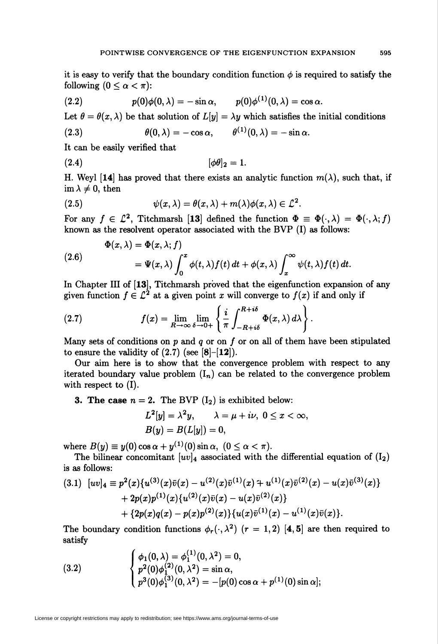it is easy to verify that the boundary condition function  $\phi$  is required to satisfy the following  $(0 \leq \alpha < \pi)$ :

(2.2) 
$$
p(0)\phi(0,\lambda)=-\sin\alpha, \qquad p(0)\phi^{(1)}(0,\lambda)=\cos\alpha.
$$

Let  $\theta = \theta(x, \lambda)$  be that solution of  $L[y] = \lambda y$  which satisfies the initial conditions

(2.3) 
$$
\theta(0,\lambda) = -\cos \alpha, \qquad \theta^{(1)}(0,\lambda) = -\sin \alpha.
$$

It can be easily verified that

$$
(\mathbf{2.4})\qquad [\phi\theta]_2=1.
$$

H. Weyl [14] has proved that there exists an analytic function  $m(\lambda)$ , such that, if im  $\lambda \neq 0$ , then

(2.5) 
$$
\psi(x,\lambda) = \theta(x,\lambda) + m(\lambda)\phi(x,\lambda) \in \mathcal{L}^2
$$

For any  $f \in \mathcal{L}^2$ , Titchmarsh [13] defined the function  $\Phi = \Phi(\cdot, \lambda) = \Phi(\cdot, \lambda; f)$ known as the resolvent operator associated with the BVP (I) as follows:

(2.6)  
\n
$$
\Phi(x,\lambda) = \Phi(x,\lambda;f)
$$
\n
$$
= \Psi(x,\lambda) \int_0^x \phi(t,\lambda) f(t) dt + \phi(x,\lambda) \int_x^\infty \psi(t,\lambda) f(t) dt.
$$

In Chapter III of [13], Titchmarsh proved that the eigenfunction expansion of any given function  $f \in \mathcal{L}^2$  at a given point x will converge to  $f(x)$  if and only if

(2.7) 
$$
f(x) = \lim_{R \to \infty} \lim_{\delta \to 0+} \left\{ \frac{i}{\pi} \int_{-R+i\delta}^{R+i\delta} \Phi(x,\lambda) d\lambda \right\}.
$$

Many sets of conditions on  $p$  and  $q$  or on  $f$  or on all of them have been stipulated to ensure the validity of  $(2.7)$  (see [8]-[12]).

Our aim here is to show that the convergence problem with respect to any iterated boundary value problem  $(I_n)$  can be related to the convergence problem with respect to (I).

## **3. The case**  $n = 2$ **.** The BVP  $(I_2)$  is exhibited below:

$$
L^2[y] = \lambda^2 y, \qquad \lambda = \mu + i\nu, \ 0 \le x < \infty,
$$
  

$$
B(y) = B(L[y]) = 0,
$$

where  $B(y) \equiv y(0) \cos \alpha + y^{(1)}(0) \sin \alpha$ ,  $(0 \le \alpha \le \pi)$ .

The bilinear concomitant  $|uv|_4$  associated with the differential equation of  $(I_2)$ is as follows:

$$
(3.1) \ [uv]_4 \equiv p^2(x)\{u^{(3)}(x)\bar{v}(x) - u^{(2)}(x)\bar{v}^{(1)}(x) + u^{(1)}(x)\bar{v}^{(2)}(x) - u(x)\bar{v}^{(3)}(x)\} + 2p(x)p^{(1)}(x)\{u^{(2)}(x)\bar{v}(x) - u(x)\bar{v}^{(2)}(x)\} + \{2p(x)q(x) - p(x)p^{(2)}(x)\}\{u(x)\bar{v}^{(1)}(x) - u^{(1)}(x)\bar{v}(x)\}.
$$

The boundary condition functions  $\phi_r(\cdot,\lambda^2)$  ( $r = 1,2$ ) [4,5] are then required to satisfy

(3.2) 
$$
\begin{cases} \phi_1(0,\lambda) = \phi_1^{(1)}(0,\lambda^2) = 0, \\ p^2(0)\phi_1^{(2)}(0,\lambda^2) = \sin \alpha, \\ p^3(0)\phi_1^{(3)}(0,\lambda^2) = -[p(0)\cos \alpha + p^{(1)}(0)\sin \alpha]; \end{cases}
$$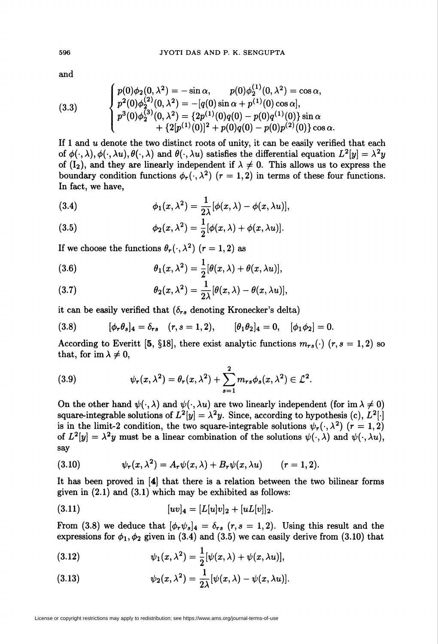and

(3.3)  

$$
\begin{cases}\np(0)\phi_2(0,\lambda^2) = -\sin \alpha, & p(0)\phi_2^{(1)}(0,\lambda^2) = \cos \alpha, \\
p^2(0)\phi_2^{(2)}(0,\lambda^2) = -[q(0)\sin \alpha + p^{(1)}(0)\cos \alpha], \\
p^3(0)\phi_2^{(3)}(0,\lambda^2) = \{2p^{(1)}(0)q(0) - p(0)q^{(1)}(0)\}\sin \alpha \\
+ \{2[p^{(1)}(0)]^2 + p(0)q(0) - p(0)p^{(2)}(0)\}\cos \alpha.\n\end{cases}
$$

If 1 and  $u$  denote the two distinct roots of unity, it can be easily verified that each of  $\phi(\cdot, \lambda), \phi(\cdot, \lambda u), \theta(\cdot, \lambda)$  and  $\theta(\cdot, \lambda u)$  satisfies the differential equation  $L^2[y] = \lambda^2 y$ of  $(I_2)$ , and they are linearly independent if  $\lambda \neq 0$ . This allows us to express the boundary condition functions  $\phi_r(\cdot,\lambda^2)$  ( $r = 1,2$ ) in terms of these four functions. In fact, we have,

(3.4) 
$$
\phi_1(x,\lambda^2)=\frac{1}{2\lambda}[\phi(x,\lambda)-\phi(x,\lambda u)],
$$

(3.5) 
$$
\phi_2(x,\lambda^2)=\frac{1}{2}[\phi(x,\lambda)+\phi(x,\lambda u)].
$$

If we choose the functions  $\theta_r(\cdot, \lambda^2)$   $(r = 1, 2)$  as

(3.6) 
$$
\theta_1(x,\lambda^2)=\frac{1}{2}[\theta(x,\lambda)+\theta(x,\lambda u)],
$$

(3.7) 
$$
\theta_2(x,\lambda^2)=\frac{1}{2\lambda}[\theta(x,\lambda)-\theta(x,\lambda u)],
$$

it can be easily verified that  $(\delta_{rs}$  denoting Kronecker's delta)

(3.8) 
$$
[\phi_r \theta_s]_4 = \delta_{rs} \quad (r, s = 1, 2), \qquad [\theta_1 \theta_2]_4 = 0, \quad [\phi_1 \phi_2] = 0.
$$

According to Everitt [5, §18], there exist analytic functions  $m_{rs}(\cdot)$  ( $r, s = 1, 2$ ) so that, for im  $\lambda \neq 0$ ,

(3.9) 
$$
\psi_r(x,\lambda^2)=\theta_r(x,\lambda^2)+\sum_{s=1}^2m_{rs}\phi_s(x,\lambda^2)\in\mathcal{L}^2.
$$

On the other hand  $\psi(\cdot, \lambda)$  and  $\psi(\cdot, \lambda u)$  are two linearly independent (for im  $\lambda \neq 0$ ) square-integrable solutions of  $L^2[y] = \lambda^2 y$ . Since, according to hypothesis (c),  $L^2|\cdot|$ is in the limit-2 condition, the two square-integrable solutions  $\psi_r(\cdot,\lambda^2)$  ( $r = 1,2$ ) of  $L^2[y] = \lambda^2 y$  must be a linear combination of the solutions  $\psi(\cdot, \lambda)$  and  $\psi(\cdot, \lambda u)$ , say

(3.10) 
$$
\psi_r(x,\lambda^2) = A_r \psi(x,\lambda) + B_r \psi(x,\lambda u) \qquad (r=1,2).
$$

It has been proved in [4] that there is a relation between the two bilinear forms given in (2.1) and (3.1) which may be exhibited as follows:

(3.11) 
$$
[uv]_4 = [L[u]v]_2 + [uL[v]]_2.
$$

From (3.8) we deduce that  $[\phi_r\psi_s]_4 = \delta_{rs}$  (r,s = 1,2). Using this result and the expressions for  $\phi_1, \phi_2$  given in (3.4) and (3.5) we can easily derive from (3.10) that

(3.12) 
$$
\psi_1(x,\lambda^2)=\frac{1}{2}[\psi(x,\lambda)+\psi(x,\lambda u)],
$$

(3.13) 
$$
\psi_2(x,\lambda^2)=\frac{1}{2\lambda}[\psi(x,\lambda)-\psi(x,\lambda u)].
$$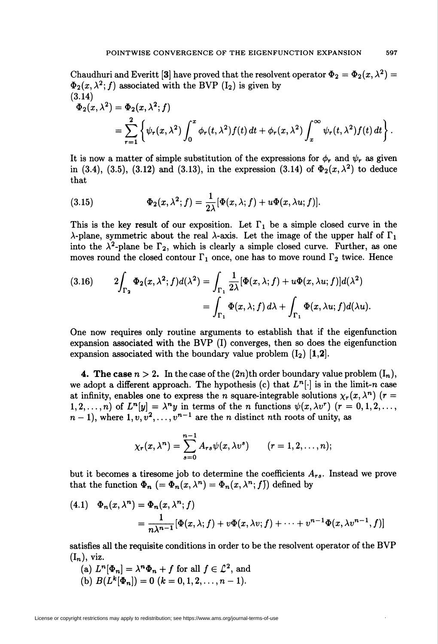Chaudhuri and Everitt [3] have proved that the resolvent operator  $\Phi_2 = \Phi_2(x, \lambda^2)$  $\Phi_2(x, \lambda^2; f)$  associated with the BVP  $(I_2)$  is given by (3.14)

$$
\Phi_2(x,\lambda^2) = \Phi_2(x,\lambda^2;f)
$$
  
= 
$$
\sum_{r=1}^2 \left\{ \psi_r(x,\lambda^2) \int_0^x \phi_r(t,\lambda^2) f(t) dt + \phi_r(x,\lambda^2) \int_x^\infty \psi_r(t,\lambda^2) f(t) dt \right\}.
$$

It is now a matter of simple substitution of the expressions for  $\phi_r$  and  $\psi_r$  as given in (3.4), (3.5), (3.12) and (3.13), in the expression (3.14) of  $\Phi_2(x,\lambda^2)$  to deduce that

(3.15) 
$$
\Phi_2(x,\lambda^2;f)=\frac{1}{2\lambda}[\Phi(x,\lambda;f)+u\Phi(x,\lambda u;f)].
$$

This is the key result of our exposition. Let  $\Gamma_1$  be a simple closed curve in the  $\lambda$ -plane, symmetric about the real  $\lambda$ -axis. Let the image of the upper half of  $\Gamma_1$ into the  $\lambda^2$ -plane be  $\Gamma_2$ , which is clearly a simple closed curve. Further, as one moves round the closed contour  $\Gamma_1$  once, one has to move round  $\Gamma_2$  twice. Hence

(3.16) 
$$
2\int_{\Gamma_2} \Phi_2(x,\lambda^2;f) d(\lambda^2) = \int_{\Gamma_1} \frac{1}{2\lambda} [\Phi(x,\lambda;f) + u\Phi(x,\lambda u;f)] d(\lambda^2)
$$

$$
= \int_{\Gamma_1} \Phi(x,\lambda;f) d\lambda + \int_{\Gamma_1} \Phi(x,\lambda u;f) d(\lambda u).
$$

One now requires only routine arguments to establish that if the eigenfunction expansion associated with the BVP (I) converges, then so does the eigenfunction expansion associated with the boundary value problem  $(I_2)$  [1,2].

4. The case  $n > 2$ . In the case of the  $(2n)$ th order boundary value problem  $(I_n)$ , we adopt a different approach. The hypothesis (c) that  $L^{n}[\cdot]$  is in the limit-n case at infinity, enables one to express the n square-integrable solutions  $\chi_r(x,\lambda^n)$  (r = 1,2,..., n) of  $L^n[y] = \lambda^n y$  in terms of the n functions  $\psi(x, \lambda v^r)$   $(r = 0, 1, 2, \ldots,$  $n-1$ , where  $1, v, v^2, \ldots, v^{n-1}$  are the *n* distinct *nth* roots of unity, as

$$
\chi_r(x,\lambda^n)=\sum_{s=0}^{n-1}A_{rs}\psi(x,\lambda v^s)\qquad (r=1,2,\ldots,n);
$$

but it becomes a tiresome job to determine the coefficients  $A_{rs}$ . Instead we prove that the function  $\Phi_n$  (=  $\Phi_n(x, \lambda^n) = \Phi_n(x, \lambda^n; f)$ ) defined by

(4.1) 
$$
\Phi_n(x, \lambda^n) = \Phi_n(x, \lambda^n; f)
$$
  
= 
$$
\frac{1}{n\lambda^{n-1}} [\Phi(x, \lambda; f) + v\Phi(x, \lambda v; f) + \cdots + v^{n-1}\Phi(x, \lambda v^{n-1}, f)]
$$

satisfies all the requisite conditions in order to be the resolvent operator of the BVP  $(I_n)$ , viz.

(a)  $L^n[\Phi_n] = \lambda^n \Phi_n + f$  for all  $f \in \mathcal{L}^2$ , and (b)  $B(L^k[\Phi_n])=0$   $(k = 0, 1, 2, \ldots, n-1).$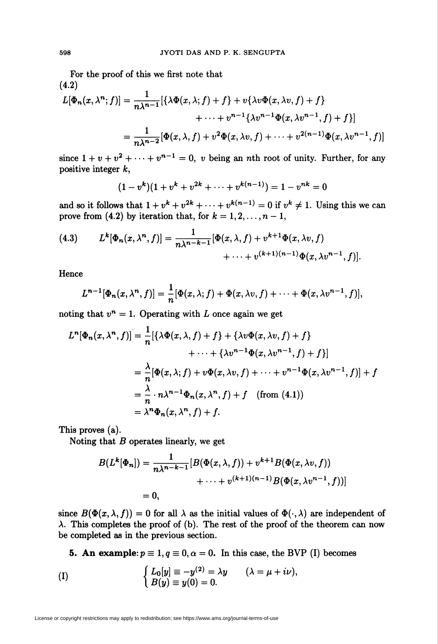For the proof of this we first note that (4.2)

$$
L[\Phi_n(x, \lambda^n; f)] = \frac{1}{n\lambda^{n-1}} [\{\lambda \Phi(x, \lambda; f) + f\} + v\{\lambda v \Phi(x, \lambda v, f) + f\} + \cdots + v^{n-1}\{\lambda v^{n-1} \Phi(x, \lambda v^{n-1}, f) + f\}]
$$
  
= 
$$
\frac{1}{n\lambda^{n-2}} [\Phi(x, \lambda, f) + v^2 \Phi(x, \lambda v, f) + \cdots + v^{2(n-1)} \Phi(x, \lambda v^{n-1}, f)]
$$

since  $1 + v + v^2 + \cdots + v^{n-1} = 0$ , v being an nth root of unity. Further, for any positive integer k,

$$
(1-v^k)(1+v^k+v^{2k}+\cdots+v^{k(n-1)})=1-v^{nk}=0
$$

and so it follows that  $1 + v^k + v^{2k} + \cdots + v^{k(n-1)} = 0$  if  $v^k \neq 1$ . Using this we can prove from (4.2) by iteration that, for  $k = 1, 2, \ldots, n - 1$ ,

(4.3) 
$$
L^{k}[\Phi_{n}(x,\lambda^{n},f)] = \frac{1}{n\lambda^{n-k-1}}[\Phi(x,\lambda,f) + v^{k+1}\Phi(x,\lambda v,f) + \cdots + v^{(k+1)(n-1)}\Phi(x,\lambda v^{n-1},f)].
$$

Hence

$$
L^{n-1}[\Phi_n(x,\lambda^n,f)] = \frac{1}{n}[\Phi(x,\lambda;f)+\Phi(x,\lambda v,f)+\cdots+\Phi(x,\lambda v^{n-1},f)],
$$

noting that  $v^n = 1$ . Operating with L once again we get

$$
L^{n}[\Phi_{n}(x,\lambda^{n},f)] = \frac{1}{n}[\{\lambda\Phi(x,\lambda,f)+f\}+\{\lambda v\Phi(x,\lambda v,f)+f\} + \cdots + \{\lambda v^{n-1}\Phi(x,\lambda v^{n-1},f)+f\}]
$$
  

$$
= \frac{\lambda}{n}[\Phi(x,\lambda;f)+v\Phi(x,\lambda v,f)+\cdots+v^{n-1}\Phi(x,\lambda v^{n-1},f)]+f
$$
  

$$
= \frac{\lambda}{n}\cdot n\lambda^{n-1}\Phi_{n}(x,\lambda^{n},f)+f \quad \text{(from (4.1))}
$$
  

$$
= \lambda^{n}\Phi_{n}(x,\lambda^{n},f)+f.
$$

This proves (a).

Noting that  $B$  operates linearly, we get

$$
B(L^{k}[\Phi_{n}]) = \frac{1}{n\lambda^{n-k-1}} [B(\Phi(x,\lambda,f)) + v^{k+1}B(\Phi(x,\lambda v,f))
$$
  
 
$$
+ \cdots + v^{(k+1)(n-1)}B(\Phi(x,\lambda v^{n-1},f))]
$$
  
= 0,

since  $B(\Phi(x, \lambda, f)) = 0$  for all  $\lambda$  as the initial values of  $\Phi(\cdot, \lambda)$  are independent of  $\lambda$ . This completes the proof of (b). The rest of the proof of the theorem can now be completed as in the previous section.

**5. An example:**  $p \equiv 1, q \equiv 0, \alpha = 0$ . In this case, the BVP (I) becomes

$$
\begin{array}{lll} \text{(I)} & \hspace{1cm} & \left\{ \begin{array}{l} L_0[y] \equiv -y^{(2)} = \lambda y \quad & (\lambda = \mu + i\nu), \\ B(y) \equiv y(0) = 0. \end{array} \right. \end{array}
$$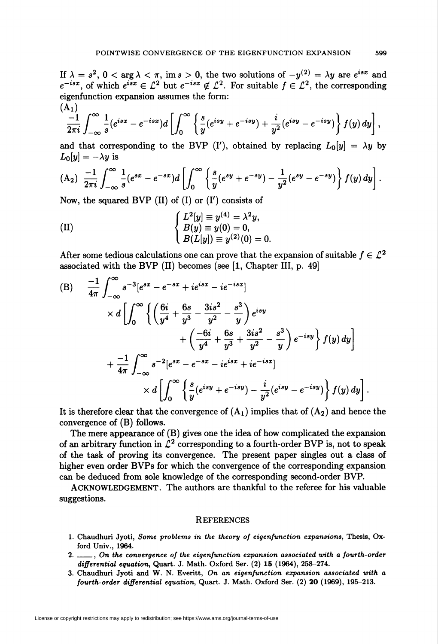If  $\lambda = s^2$ ,  $0 < \arg \lambda < \pi$ , im  $s > 0$ , the two solutions of  $-y^{(2)} = \lambda y$  are  $e^{isx}$  and  $e^{-isx}$ , of which  $e^{isx} \in \mathbb{C}^2$  but  $e^{-isx} \notin \mathbb{C}^2$ . For suitable  $f \in \mathbb{C}^2$ , the corresponding eigenfunction expansion assumes the form:  $(A_1)$ 

$$
\frac{-1}{2\pi i}\int_{-\infty}^{\infty}\frac{1}{s}(e^{isx}-e^{-isx})d\left[\int_{0}^{\infty}\left\{\frac{s}{y}(e^{isy}+e^{-isy})+\frac{i}{y^2}(e^{isy}-e^{-isy})\right\}f(y)dy\right],
$$

and that corresponding to the BVP (I'), obtained by replacing  $L_0[y] = \lambda y$  by  $L_0[y] = -\lambda y$  is

(A<sub>2</sub>) 
$$
\frac{-1}{2\pi i} \int_{-\infty}^{\infty} \frac{1}{s} (e^{sx} - e^{-sx}) d \left[ \int_{0}^{\infty} \left\{ \frac{s}{y} (e^{sy} + e^{-sy}) - \frac{1}{y^2} (e^{sy} - e^{-sy}) \right\} f(y) dy \right].
$$

Now, the squared BVP  $(II)$  of  $(I)$  or  $(I')$  consists of

(II) 
$$
\begin{cases} L^2[y] \equiv y^{(4)} = \lambda^2 y, \\ B(y) \equiv y(0) = 0, \\ B(L[y]) \equiv y^{(2)}(0) = 0. \end{cases}
$$

After some tedious calculations one can prove that the expansion of suitable  $f \in \mathcal{L}^2$ associated with the BVP (II) becomes (see [1, Chapter III, p. 49]

(B) 
$$
\frac{-1}{4\pi} \int_{-\infty}^{\infty} s^{-3} [e^{sx} - e^{-sx} + i e^{isx} - i e^{-isx}]
$$
  
\n
$$
\times d \left[ \int_{0}^{\infty} \left\{ \left( \frac{6i}{y^4} + \frac{6s}{y^3} - \frac{3is^2}{y^2} - \frac{s^3}{y} \right) e^{isy} + \left( \frac{-6i}{y^4} + \frac{6s}{y^3} + \frac{3is^2}{y^2} - \frac{s^3}{y} \right) e^{-isy} \right\} f(y) dy \right]
$$
  
\n
$$
+ \frac{-1}{4\pi} \int_{-\infty}^{\infty} s^{-2} [e^{sx} - e^{-sx} - i e^{isx} + i e^{-isx}]
$$
  
\n
$$
\times d \left[ \int_{0}^{\infty} \left\{ \frac{s}{y} (e^{isy} + e^{-isy}) - \frac{i}{y^2} (e^{isy} - e^{-isy}) \right\} f(y) dy \right].
$$

It is therefore clear that the convergence of  $(A_1)$  implies that of  $(A_2)$  and hence the convergence of (B) follows.

The mere appearance of (B) gives one the idea of how complicated the expansion of an arbitrary function in  $\mathcal{L}^2$  corresponding to a fourth-order BVP is, not to speak of the task of proving its convergence. The present paper singles out a class of higher even order BVPs for which the convergence of the corresponding expansion can be deduced from sole knowledge of the corresponding second-order BVP.

ACKNOWLEDGEMENT. The authors are thankful to the referee for his valuable suggestions.

## **REFERENCES**

- 1. Chaudhuri Jyoti, Some problems in the theory of eigenfunction expansions, Thesis, Oxford Univ., 1964.
- 2. \_\_, On the convergence of the eigenfunction expansion associated with a fourth-order differential equation, Quart. J. Math. Oxford Ser. (2) 15 (1964), 258-274.
- 3. Chaudhuri Jyoti and W. N. Everitt, On an eigenfunction expansion associated with a fourth-order differential equation, Quart. J. Math. Oxford Ser. (2) 20 (1969), 195-213.